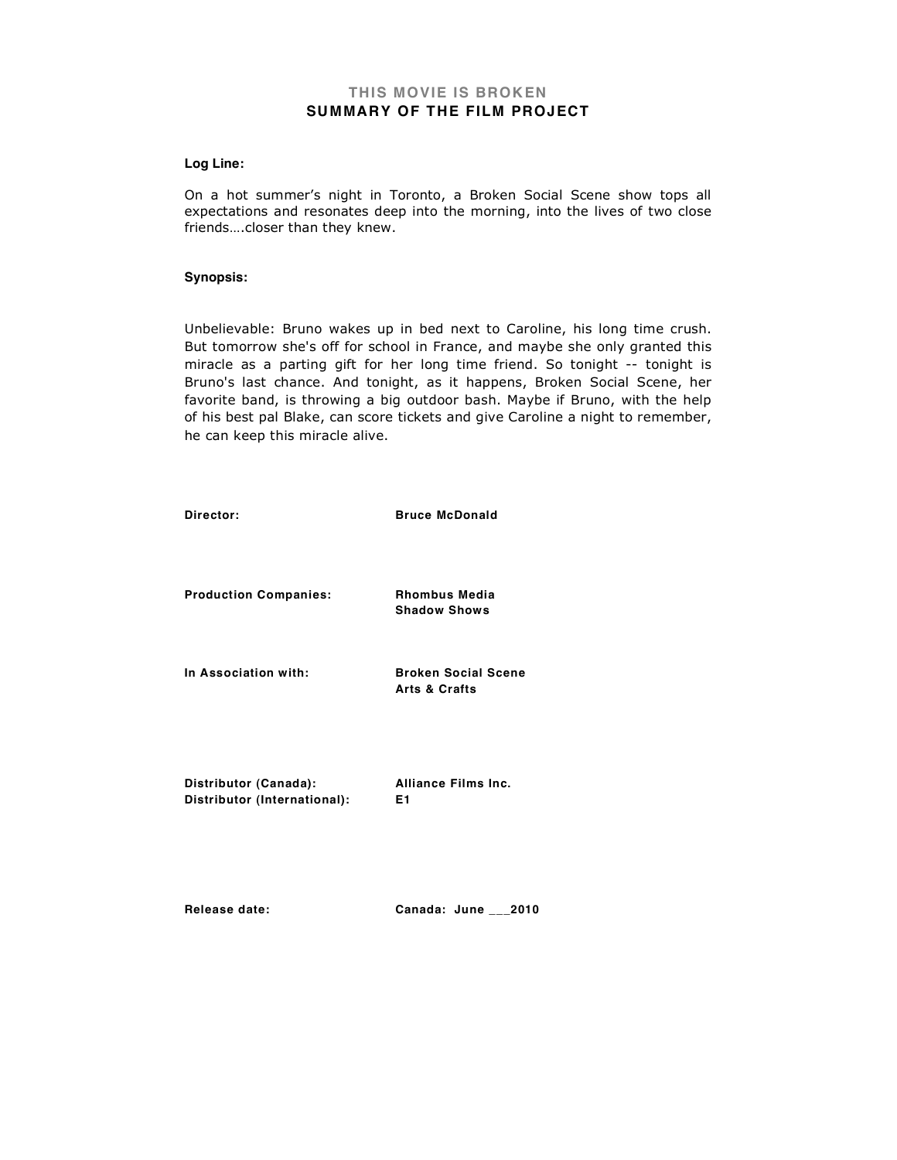## **THIS MOVIE IS BROKEN SUMMARY OF THE FILM PROJECT**

#### **Log Line:**

On a hot summer's night in Toronto, a Broken Social Scene show tops all expectations and resonates deep into the morning, into the lives of two close friends….closer than they knew.

#### **Synopsis:**

Unbelievable: Bruno wakes up in bed next to Caroline, his long time crush. But tomorrow she's off for school in France, and maybe she only granted this miracle as a parting gift for her long time friend. So tonight -- tonight is Bruno's last chance. And tonight, as it happens, Broken Social Scene, her favorite band, is throwing a big outdoor bash. Maybe if Bruno, with the help of his best pal Blake, can score tickets and give Caroline a night to remember, he can keep this miracle alive.

| Director:                                             | <b>Bruce McDonald</b>                                  |
|-------------------------------------------------------|--------------------------------------------------------|
| <b>Production Companies:</b>                          | <b>Rhombus Media</b><br><b>Shadow Shows</b>            |
| In Association with:                                  | <b>Broken Social Scene</b><br><b>Arts &amp; Crafts</b> |
| Distributor (Canada):<br>Distributor (International): | <b>Alliance Films Inc.</b><br>E1                       |

**Release date: Canada: June \_\_\_2010**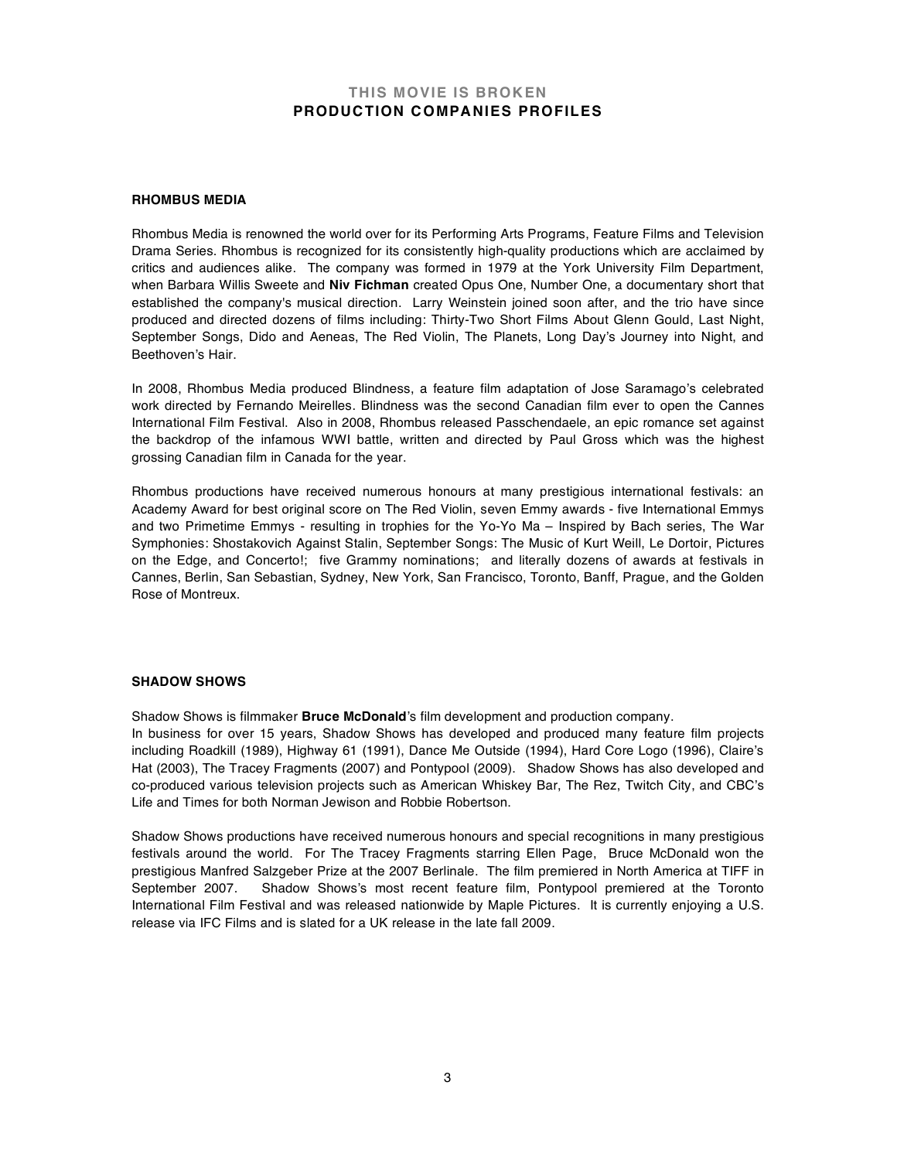### **THIS MOVIE IS BROKEN PRODUCTION COMPANIES PROFILES**

#### **RHOMBUS MEDIA**

Rhombus Media is renowned the world over for its Performing Arts Programs, Feature Films and Television Drama Series. Rhombus is recognized for its consistently high-quality productions which are acclaimed by critics and audiences alike. The company was formed in 1979 at the York University Film Department, when Barbara Willis Sweete and **Niv Fichman** created Opus One, Number One, a documentary short that established the company's musical direction. Larry Weinstein joined soon after, and the trio have since produced and directed dozens of films including: Thirty-Two Short Films About Glenn Gould, Last Night, September Songs, Dido and Aeneas, The Red Violin, The Planets, Long Day's Journey into Night, and Beethoven's Hair.

In 2008, Rhombus Media produced Blindness, a feature film adaptation of Jose Saramago's celebrated work directed by Fernando Meirelles. Blindness was the second Canadian film ever to open the Cannes International Film Festival. Also in 2008, Rhombus released Passchendaele, an epic romance set against the backdrop of the infamous WWI battle, written and directed by Paul Gross which was the highest grossing Canadian film in Canada for the year.

Rhombus productions have received numerous honours at many prestigious international festivals: an Academy Award for best original score on The Red Violin, seven Emmy awards - five International Emmys and two Primetime Emmys - resulting in trophies for the Yo-Yo Ma – Inspired by Bach series, The War Symphonies: Shostakovich Against Stalin, September Songs: The Music of Kurt Weill, Le Dortoir, Pictures on the Edge, and Concerto!; five Grammy nominations; and literally dozens of awards at festivals in Cannes, Berlin, San Sebastian, Sydney, New York, San Francisco, Toronto, Banff, Prague, and the Golden Rose of Montreux.

#### **SHADOW SHOWS**

Shadow Shows is filmmaker **Bruce McDonald**'s film development and production company.

In business for over 15 years, Shadow Shows has developed and produced many feature film projects including Roadkill (1989), Highway 61 (1991), Dance Me Outside (1994), Hard Core Logo (1996), Claire's Hat (2003), The Tracey Fragments (2007) and Pontypool (2009). Shadow Shows has also developed and co-produced various television projects such as American Whiskey Bar, The Rez, Twitch City, and CBC's Life and Times for both Norman Jewison and Robbie Robertson.

Shadow Shows productions have received numerous honours and special recognitions in many prestigious festivals around the world. For The Tracey Fragments starring Ellen Page, Bruce McDonald won the prestigious Manfred Salzgeber Prize at the 2007 Berlinale. The film premiered in North America at TIFF in September 2007. Shadow Shows's most recent feature film, Pontypool premiered at the Toronto International Film Festival and was released nationwide by Maple Pictures. It is currently enjoying a U.S. release via IFC Films and is slated for a UK release in the late fall 2009.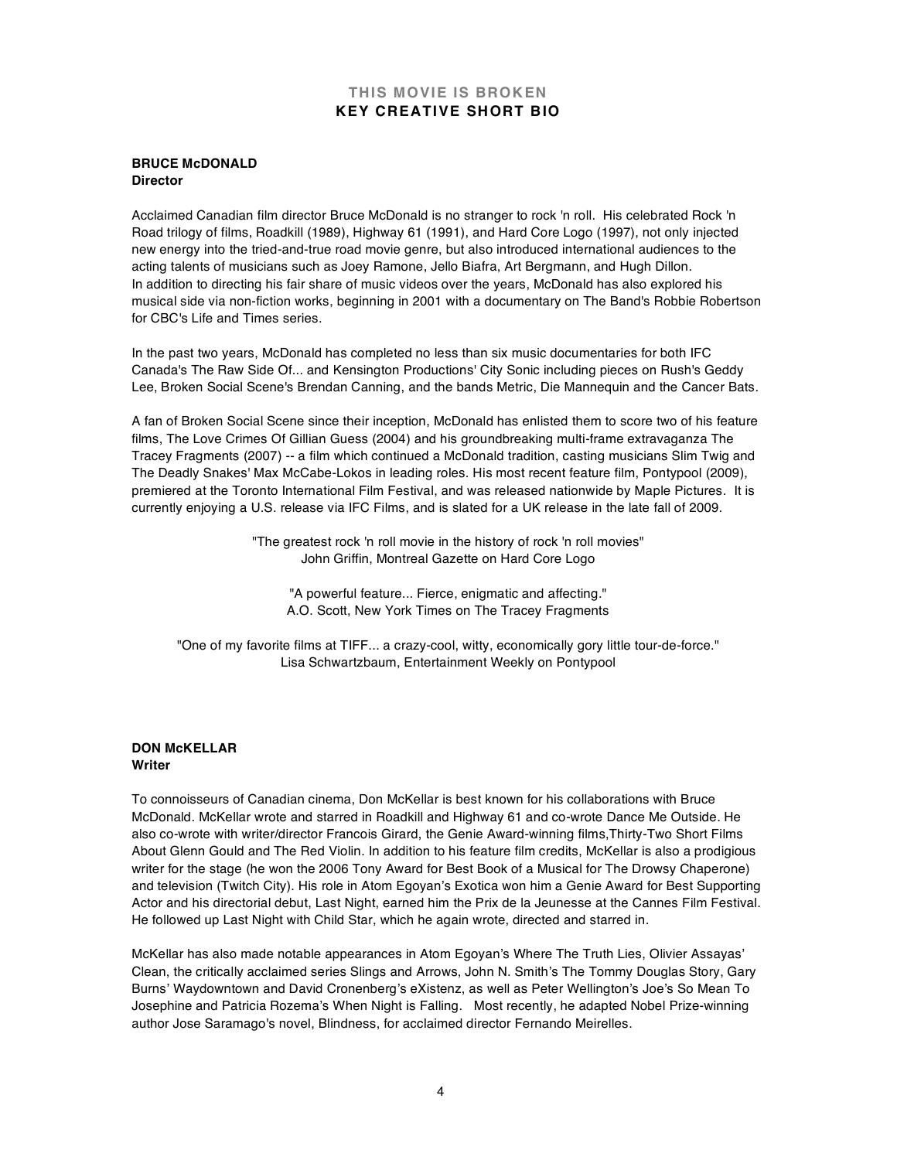## **THIS MOVIE IS BROKEN KEY CREATIVE SHORT BIO**

### **BRUCE McDONALD Director**

Acclaimed Canadian film director Bruce McDonald is no stranger to rock 'n roll. His celebrated Rock 'n Road trilogy of films, Roadkill (1989), Highway 61 (1991), and Hard Core Logo (1997), not only injected new energy into the tried-and-true road movie genre, but also introduced international audiences to the acting talents of musicians such as Joey Ramone, Jello Biafra, Art Bergmann, and Hugh Dillon. In addition to directing his fair share of music videos over the years, McDonald has also explored his musical side via non-fiction works, beginning in 2001 with a documentary on The Band's Robbie Robertson for CBC's Life and Times series.

In the past two years, McDonald has completed no less than six music documentaries for both IFC Canada's The Raw Side Of... and Kensington Productions' City Sonic including pieces on Rush's Geddy Lee, Broken Social Scene's Brendan Canning, and the bands Metric, Die Mannequin and the Cancer Bats.

A fan of Broken Social Scene since their inception, McDonald has enlisted them to score two of his feature films, The Love Crimes Of Gillian Guess (2004) and his groundbreaking multi-frame extravaganza The Tracey Fragments (2007) -- a film which continued a McDonald tradition, casting musicians Slim Twig and The Deadly Snakes' Max McCabe-Lokos in leading roles. His most recent feature film, Pontypool (2009), premiered at the Toronto International Film Festival, and was released nationwide by Maple Pictures. It is currently enjoying a U.S. release via IFC Films, and is slated for a UK release in the late fall of 2009.

> "The greatest rock 'n roll movie in the history of rock 'n roll movies" John Griffin, Montreal Gazette on Hard Core Logo

"A powerful feature... Fierce, enigmatic and affecting." A.O. Scott, New York Times on The Tracey Fragments

"One of my favorite films at TIFF... a crazy-cool, witty, economically gory little tour-de-force." Lisa Schwartzbaum, Entertainment Weekly on Pontypool

### **DON McKELLAR Writer**

To connoisseurs of Canadian cinema, Don McKellar is best known for his collaborations with Bruce McDonald. McKellar wrote and starred in Roadkill and Highway 61 and co-wrote Dance Me Outside. He also co-wrote with writer/director Francois Girard, the Genie Award-winning films,Thirty-Two Short Films About Glenn Gould and The Red Violin. In addition to his feature film credits, McKellar is also a prodigious writer for the stage (he won the 2006 Tony Award for Best Book of a Musical for The Drowsy Chaperone) and television (Twitch City). His role in Atom Egoyan's Exotica won him a Genie Award for Best Supporting Actor and his directorial debut, Last Night, earned him the Prix de la Jeunesse at the Cannes Film Festival. He followed up Last Night with Child Star, which he again wrote, directed and starred in.

McKellar has also made notable appearances in Atom Egoyan's Where The Truth Lies, Olivier Assayas' Clean, the critically acclaimed series Slings and Arrows, John N. Smith's The Tommy Douglas Story, Gary Burns' Waydowntown and David Cronenberg's eXistenz, as well as Peter Wellington's Joe's So Mean To Josephine and Patricia Rozema's When Night is Falling. Most recently, he adapted Nobel Prize-winning author Jose Saramago's novel, Blindness, for acclaimed director Fernando Meirelles.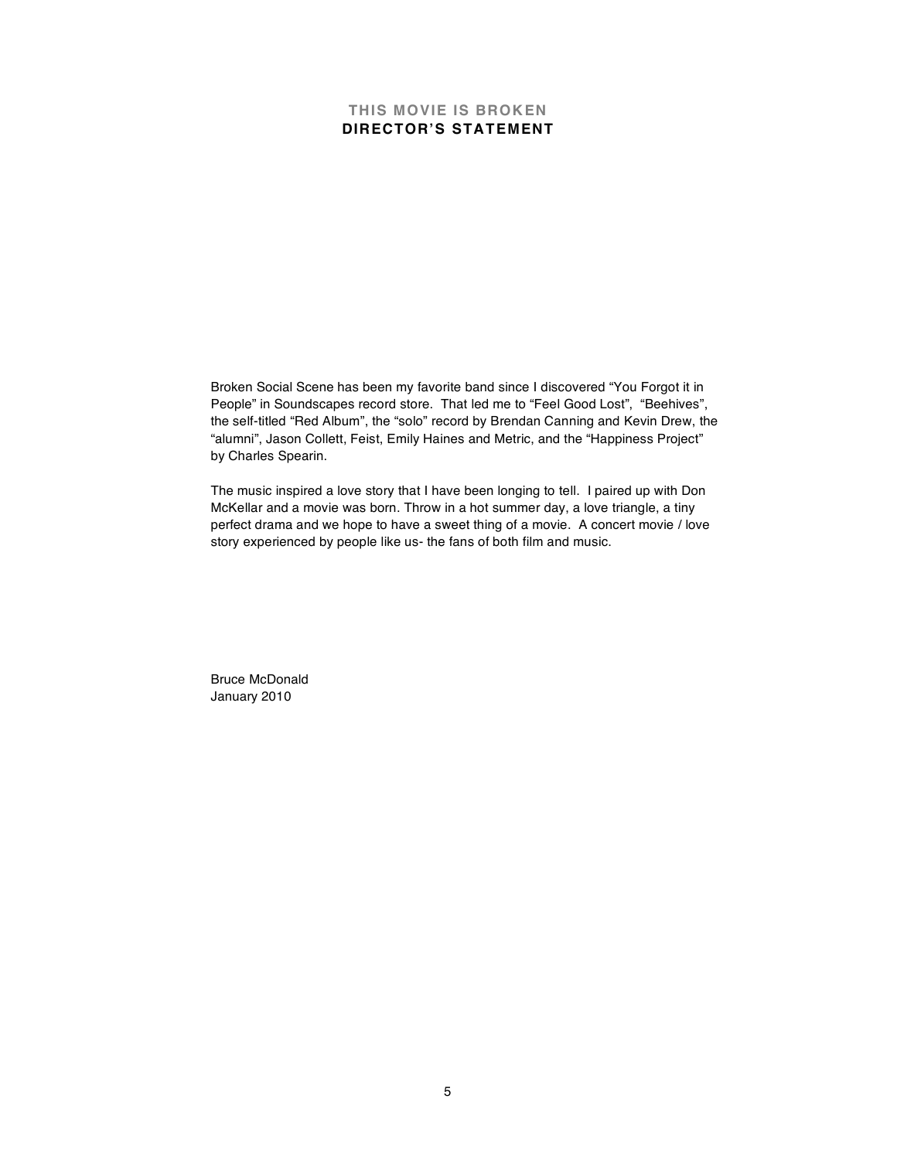# **THIS MOVIE IS BROKEN DIRECTOR'S STATEMENT**

Broken Social Scene has been my favorite band since I discovered "You Forgot it in People" in Soundscapes record store. That led me to "Feel Good Lost", "Beehives", the self-titled "Red Album", the "solo" record by Brendan Canning and Kevin Drew, the "alumni", Jason Collett, Feist, Emily Haines and Metric, and the "Happiness Project" by Charles Spearin.

The music inspired a love story that I have been longing to tell. I paired up with Don McKellar and a movie was born. Throw in a hot summer day, a love triangle, a tiny perfect drama and we hope to have a sweet thing of a movie. A concert movie / love story experienced by people like us- the fans of both film and music.

Bruce McDonald January 2010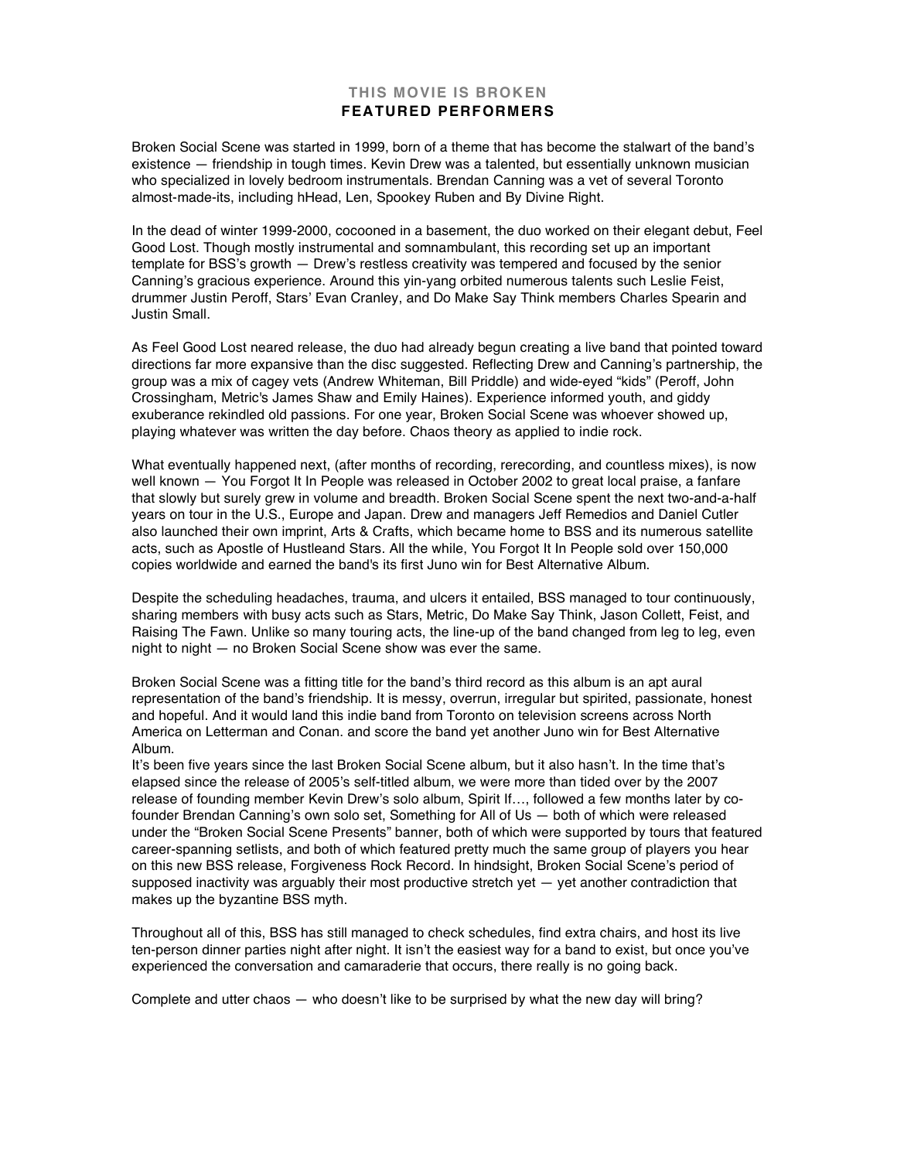## **THIS MOVIE IS BROKEN FEATURED PERFORMERS**

Broken Social Scene was started in 1999, born of a theme that has become the stalwart of the band's existence — friendship in tough times. Kevin Drew was a talented, but essentially unknown musician who specialized in lovely bedroom instrumentals. Brendan Canning was a vet of several Toronto almost-made-its, including hHead, Len, Spookey Ruben and By Divine Right.

In the dead of winter 1999-2000, cocooned in a basement, the duo worked on their elegant debut, Feel Good Lost. Though mostly instrumental and somnambulant, this recording set up an important template for BSS's growth — Drew's restless creativity was tempered and focused by the senior Canning's gracious experience. Around this yin-yang orbited numerous talents such Leslie Feist, drummer Justin Peroff, Stars' Evan Cranley, and Do Make Say Think members Charles Spearin and Justin Small.

As Feel Good Lost neared release, the duo had already begun creating a live band that pointed toward directions far more expansive than the disc suggested. Reflecting Drew and Canning's partnership, the group was a mix of cagey vets (Andrew Whiteman, Bill Priddle) and wide-eyed "kids" (Peroff, John Crossingham, Metric's James Shaw and Emily Haines). Experience informed youth, and giddy exuberance rekindled old passions. For one year, Broken Social Scene was whoever showed up, playing whatever was written the day before. Chaos theory as applied to indie rock.

What eventually happened next, (after months of recording, rerecording, and countless mixes), is now well known — You Forgot It In People was released in October 2002 to great local praise, a fanfare that slowly but surely grew in volume and breadth. Broken Social Scene spent the next two-and-a-half years on tour in the U.S., Europe and Japan. Drew and managers Jeff Remedios and Daniel Cutler also launched their own imprint, Arts & Crafts, which became home to BSS and its numerous satellite acts, such as Apostle of Hustleand Stars. All the while, You Forgot It In People sold over 150,000 copies worldwide and earned the band's its first Juno win for Best Alternative Album.

Despite the scheduling headaches, trauma, and ulcers it entailed, BSS managed to tour continuously, sharing members with busy acts such as Stars, Metric, Do Make Say Think, Jason Collett, Feist, and Raising The Fawn. Unlike so many touring acts, the line-up of the band changed from leg to leg, even night to night — no Broken Social Scene show was ever the same.

Broken Social Scene was a fitting title for the band's third record as this album is an apt aural representation of the band's friendship. It is messy, overrun, irregular but spirited, passionate, honest and hopeful. And it would land this indie band from Toronto on television screens across North America on Letterman and Conan. and score the band yet another Juno win for Best Alternative Album.

It's been five years since the last Broken Social Scene album, but it also hasn't. In the time that's elapsed since the release of 2005's self-titled album, we were more than tided over by the 2007 release of founding member Kevin Drew's solo album, Spirit If…, followed a few months later by cofounder Brendan Canning's own solo set, Something for All of Us — both of which were released under the "Broken Social Scene Presents" banner, both of which were supported by tours that featured career-spanning setlists, and both of which featured pretty much the same group of players you hear on this new BSS release, Forgiveness Rock Record. In hindsight, Broken Social Scene's period of supposed inactivity was arguably their most productive stretch yet - yet another contradiction that makes up the byzantine BSS myth.

Throughout all of this, BSS has still managed to check schedules, find extra chairs, and host its live ten-person dinner parties night after night. It isn't the easiest way for a band to exist, but once you've experienced the conversation and camaraderie that occurs, there really is no going back.

Complete and utter chaos — who doesn't like to be surprised by what the new day will bring?